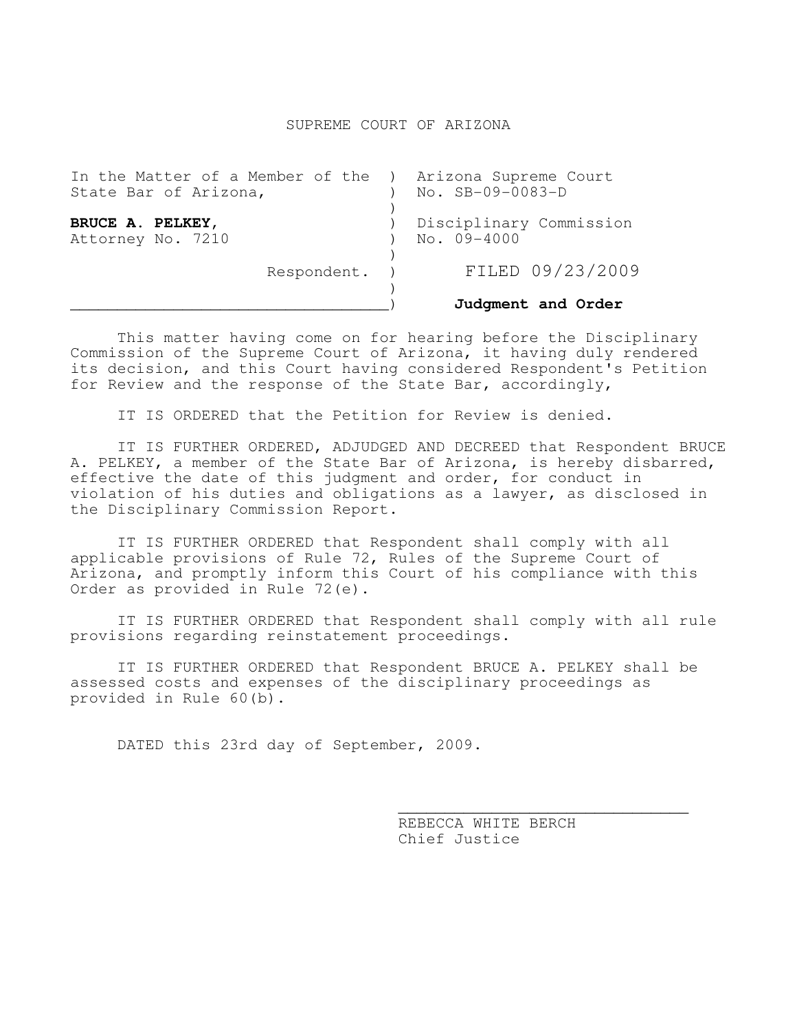## SUPREME COURT OF ARIZONA

|                                                                                   | Judgment and Order                     |
|-----------------------------------------------------------------------------------|----------------------------------------|
| Respondent.                                                                       | FILED 09/23/2009                       |
| BRUCE A. PELKEY,<br>Attorney No. 7210                                             | Disciplinary Commission<br>No. 09-4000 |
| In the Matter of a Member of the ) Arizona Supreme Court<br>State Bar of Arizona, | No. SB-09-0083-D                       |

This matter having come on for hearing before the Disciplinary Commission of the Supreme Court of Arizona, it having duly rendered its decision, and this Court having considered Respondent's Petition for Review and the response of the State Bar, accordingly,

IT IS ORDERED that the Petition for Review is denied.

 IT IS FURTHER ORDERED, ADJUDGED AND DECREED that Respondent BRUCE A. PELKEY, a member of the State Bar of Arizona, is hereby disbarred, effective the date of this judgment and order, for conduct in violation of his duties and obligations as a lawyer, as disclosed in the Disciplinary Commission Report.

IT IS FURTHER ORDERED that Respondent shall comply with all applicable provisions of Rule 72, Rules of the Supreme Court of Arizona, and promptly inform this Court of his compliance with this Order as provided in Rule 72(e).

 IT IS FURTHER ORDERED that Respondent shall comply with all rule provisions regarding reinstatement proceedings.

IT IS FURTHER ORDERED that Respondent BRUCE A. PELKEY shall be assessed costs and expenses of the disciplinary proceedings as provided in Rule 60(b).

 $\mathcal{L}_\text{max}$  , and the contract of the contract of the contract of the contract of the contract of the contract of the contract of the contract of the contract of the contract of the contract of the contract of the contr

DATED this 23rd day of September, 2009.

 REBECCA WHITE BERCH Chief Justice